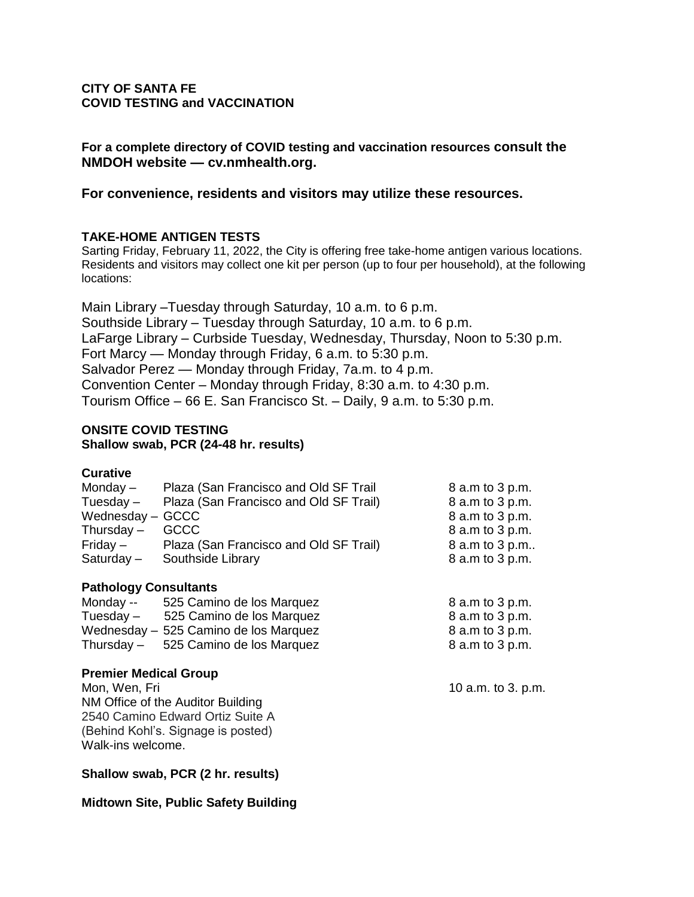## **CITY OF SANTA FE COVID TESTING and VACCINATION**

**For a complete directory of COVID testing and vaccination resources consult the NMDOH website — cv.nmhealth.org.**

**For convenience, residents and visitors may utilize these resources.**

# **TAKE-HOME ANTIGEN TESTS**

Sarting Friday, February 11, 2022, the City is offering free take-home antigen various locations. Residents and visitors may collect one kit per person (up to four per household), at the following locations:

Main Library –Tuesday through Saturday, 10 a.m. to 6 p.m. Southside Library – Tuesday through Saturday, 10 a.m. to 6 p.m. LaFarge Library – Curbside Tuesday, Wednesday, Thursday, Noon to 5:30 p.m. Fort Marcy — Monday through Friday, 6 a.m. to 5:30 p.m. Salvador Perez — Monday through Friday, 7a.m. to 4 p.m. Convention Center – Monday through Friday, 8:30 a.m. to 4:30 p.m. Tourism Office – 66 E. San Francisco St. – Daily, 9 a.m. to 5:30 p.m.

## **ONSITE COVID TESTING Shallow swab, PCR (24-48 hr. results)**

| <b>Curative</b>  |                                        |                 |
|------------------|----------------------------------------|-----------------|
| Monday $-$       | Plaza (San Francisco and Old SF Trail  | 8 a.m to 3 p.m. |
| Tuesday -        | Plaza (San Francisco and Old SF Trail) | 8 a.m to 3 p.m. |
| Wednesday - GCCC |                                        | 8 a.m to 3 p.m. |
| Thursday $-$     | <b>GCCC</b>                            | 8 a.m to 3 p.m. |
| $Friday -$       | Plaza (San Francisco and Old SF Trail) | 8 a.m to 3 p.m  |
| Saturday-        | Southside Library                      | 8 a.m to 3 p.m. |
|                  |                                        |                 |

## **Pathology Consultants**

| Monday --   | 525 Camino de los Marquez             | 8 a.m to 3 p.m. |
|-------------|---------------------------------------|-----------------|
| Tuesday $-$ | 525 Camino de los Marquez             | 8 a.m to 3 p.m. |
|             | Wednesday - 525 Camino de los Marquez | 8 a.m to 3 p.m. |
| Thursday –  | 525 Camino de los Marquez             | 8 a.m to 3 p.m. |

#### **Premier Medical Group**

Mon, Wen, Fri **10 a.m.** to 3. p.m. NM Office of the Auditor Building 2540 Camino Edward Ortiz Suite A (Behind Kohl's. Signage is posted) Walk-ins welcome.

**Shallow swab, PCR (2 hr. results)**

**Midtown Site, Public Safety Building**